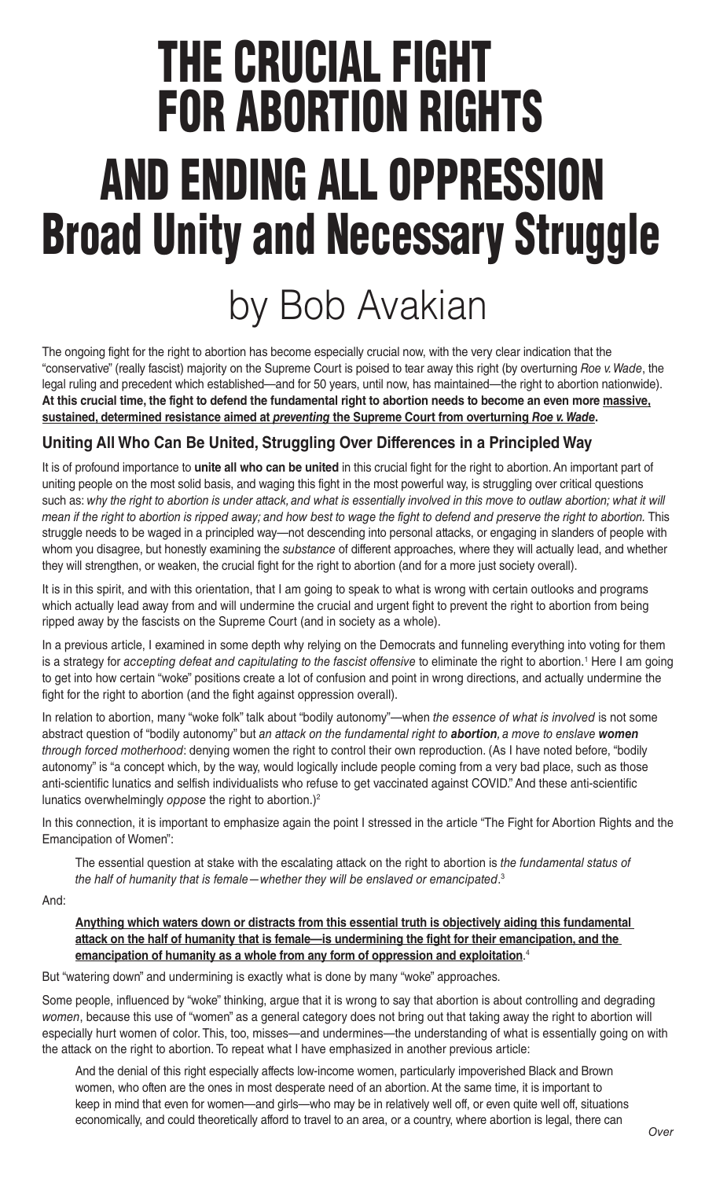## THE CRUCIAL FIGHT FOR ABORTION RIGHTS AND ENDING ALL OPPRESSION Broad Unity and Necessary Struggle

## by Bob Avakian

The ongoing fight for the right to abortion has become especially crucial now, with the very clear indication that the "conservative" (really fascist) majority on the Supreme Court is poised to tear away this right (by overturning *Roe v. Wade*, the legal ruling and precedent which established—and for 50 years, until now, has maintained—the right to abortion nationwide). **At this crucial time, the fight to defend the fundamental right to abortion needs to become an even more massive, sustained, determined resistance aimed at** *preventing* **the Supreme Court from overturning** *Roe v. Wade***.**

## **Uniting All Who Can Be United, Struggling Over Differences in a Principled Way**

It is of profound importance to **unite all who can be united** in this crucial fight for the right to abortion. An important part of uniting people on the most solid basis, and waging this fight in the most powerful way, is struggling over critical questions such as: *why the right to abortion is under attack, and what is essentially involved in this move to outlaw abortion; what it will mean if the right to abortion is ripped away; and how best to wage the fight to defend and preserve the right to abortion.* This struggle needs to be waged in a principled way—not descending into personal attacks, or engaging in slanders of people with whom you disagree, but honestly examining the *substance* of different approaches, where they will actually lead, and whether they will strengthen, or weaken, the crucial fight for the right to abortion (and for a more just society overall).

It is in this spirit, and with this orientation, that I am going to speak to what is wrong with certain outlooks and programs which actually lead away from and will undermine the crucial and urgent fight to prevent the right to abortion from being ripped away by the fascists on the Supreme Court (and in society as a whole).

In a previous article, I examined in some depth why relying on the Democrats and funneling everything into voting for them is a strategy for *accepting defeat and capitulating to the fascist offensive* to eliminate the right to abortion.<sup>1</sup> Here I am going to get into how certain "woke" positions create a lot of confusion and point in wrong directions, and actually undermine the fight for the right to abortion (and the fight against oppression overall).

In relation to abortion, many "woke folk" talk about "bodily autonomy"—when *the essence of what is involved* is not some abstract question of "bodily autonomy" but *an attack on the fundamental right to abortion, a move to enslave women through forced motherhood*: denying women the right to control their own reproduction. (As I have noted before, "bodily autonomy" is "a concept which, by the way, would logically include people coming from a very bad place, such as those anti-scientific lunatics and selfish individualists who refuse to get vaccinated against COVID." And these anti-scientific lunatics overwhelmingly *oppose* the right to abortion.)2

In this connection, it is important to emphasize again the point I stressed in the article "The Fight for Abortion Rights and the Emancipation of Women":

The essential question at stake with the escalating attack on the right to abortion is *the fundamental status of the half of humanity that is female—whether they will be enslaved or emancipated*. 3

And:

**Anything which waters down or distracts from this essential truth is objectively aiding this fundamental attack on the half of humanity that is female—is undermining the fight for their emancipation, and the emancipation of humanity as a whole from any form of oppression and exploitation**. 4

But "watering down" and undermining is exactly what is done by many "woke" approaches.

Some people, influenced by "woke" thinking, argue that it is wrong to say that abortion is about controlling and degrading *women*, because this use of "women" as a general category does not bring out that taking away the right to abortion will especially hurt women of color. This, too, misses—and undermines—the understanding of what is essentially going on with the attack on the right to abortion. To repeat what I have emphasized in another previous article:

And the denial of this right especially affects low-income women, particularly impoverished Black and Brown women, who often are the ones in most desperate need of an abortion. At the same time, it is important to keep in mind that even for women—and girls—who may be in relatively well off, or even quite well off, situations economically, and could theoretically afford to travel to an area, or a country, where abortion is legal, there can *Over*